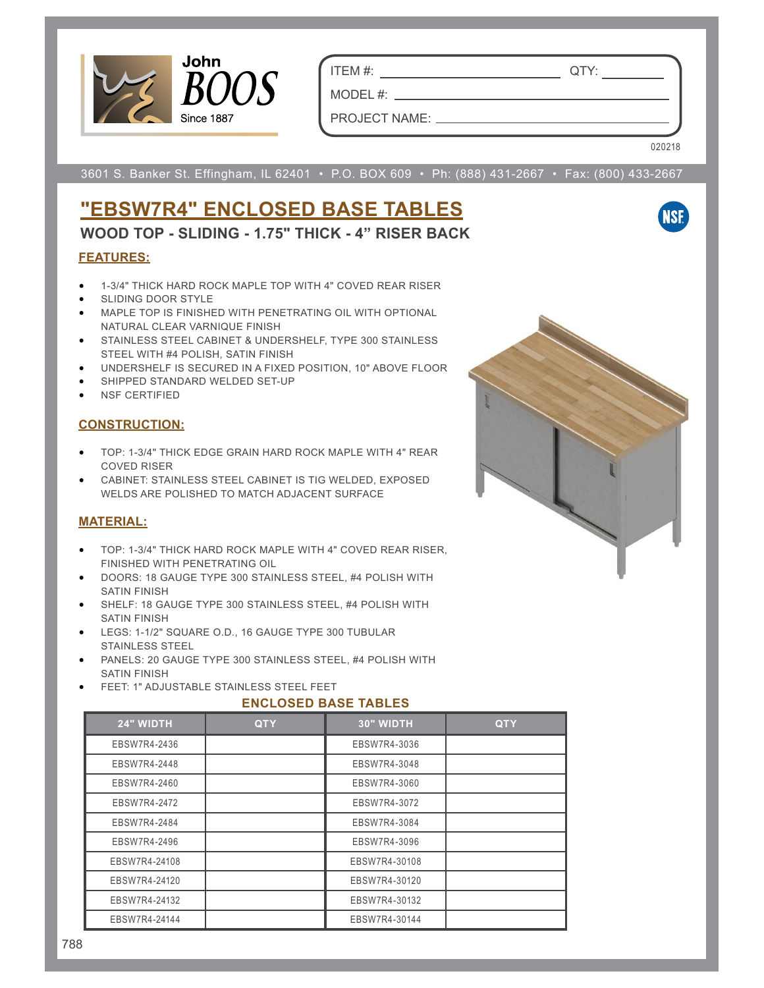

ITEM #: QTY:

PROJECT NAME:

MODEL #:

020218

**NSF** 

3601 S. Banker St. Effingham, IL 62401 • P.O. BOX 609 • Ph: (888) 431-2667 • Fax: (800) 433-2667

# **"EBSW7R4" ENCLOSED BASE TABLES**

**WOOD TOP - SLIDING - 1.75" THICK - 4" RISER BACK**

### **FEATURES:**

- 1-3/4" THICK HARD ROCK MAPLE TOP WITH 4" COVED REAR RISER
- SLIDING DOOR STYLE
- MAPLE TOP IS FINISHED WITH PENETRATING OIL WITH OPTIONAL NATURAL CLEAR VARNIQUE FINISH
- STAINLESS STEEL CABINET & UNDERSHELF, TYPE 300 STAINLESS STEEL WITH #4 POLISH, SATIN FINISH
- UNDERSHELF IS SECURED IN A FIXED POSITION, 10" ABOVE FLOOR
- SHIPPED STANDARD WELDED SET-UP
- **NSF CERTIFIED**

#### **CONSTRUCTION:**

- TOP: 1-3/4" THICK EDGE GRAIN HARD ROCK MAPLE WITH 4" REAR COVED RISER
- CABINET: STAINLESS STEEL CABINET IS TIG WELDED, EXPOSED WELDS ARE POLISHED TO MATCH ADJACENT SURFACE

#### **MATERIAL:**

- TOP: 1-3/4" THICK HARD ROCK MAPLE WITH 4" COVED REAR RISER, FINISHED WITH PENETRATING OIL
- DOORS: 18 GAUGE TYPE 300 STAINLESS STEEL, #4 POLISH WITH SATIN FINISH
- SHELF: 18 GAUGE TYPE 300 STAINLESS STEEL, #4 POLISH WITH SATIN FINISH
- LEGS: 1-1/2" SQUARE O.D., 16 GAUGE TYPE 300 TUBULAR STAINLESS STEEL
- PANELS: 20 GAUGE TYPE 300 STAINLESS STEEL, #4 POLISH WITH SATIN FINISH
- FEET: 1" ADJUSTABLE STAINLESS STEEL FEET

#### **ENCLOSED BASE TABLES**

| 24" WIDTH     | <b>QTY</b> | 30" WIDTH     | <b>QTY</b> |
|---------------|------------|---------------|------------|
| EBSW7R4-2436  |            | EBSW7R4-3036  |            |
| EBSW7R4-2448  |            | EBSW7R4-3048  |            |
| EBSW7R4-2460  |            | EBSW7R4-3060  |            |
| EBSW7R4-2472  |            | EBSW7R4-3072  |            |
| EBSW7R4-2484  |            | EBSW7R4-3084  |            |
| EBSW7R4-2496  |            | EBSW7R4-3096  |            |
| EBSW7R4-24108 |            | EBSW7R4-30108 |            |
| EBSW7R4-24120 |            | EBSW7R4-30120 |            |
| EBSW7R4-24132 |            | EBSW7R4-30132 |            |
| EBSW7R4-24144 |            | EBSW7R4-30144 |            |